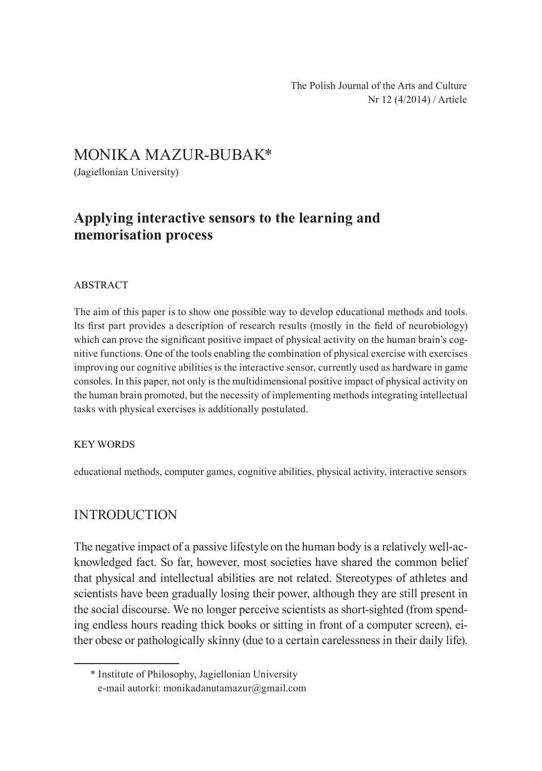# MONIKA MAZUR-BUBAK\*

(Jagiellonian University)

# **Applying interactive sensors to the learning and memorisation process**

#### ABSTRACT

The aim of this paper is to show one possible way to develop educational methods and tools. Its first part provides a description of research results (mostly in the field of neurobiology) which can prove the significant positive impact of physical activity on the human brain's cognitive functions. One of the tools enabling the combination of physical exercise with exercises improving our cognitive abilities is the interactive sensor, currently used as hardware in game consoles. In this paper, not only is the multidimensional positive impact of physical activity on the human brain promoted, but the necessity of implementing methods integrating intellectual tasks with physical exercises is additionally postulated.

#### Key words

educational methods, computer games, cognitive abilities, physical activity, interactive sensors

## **INTRODUCTION**

The negative impact of a passive lifestyle on the human body is a relatively well-acknowledged fact. So far, however, most societies have shared the common belief that physical and intellectual abilities are not related. Stereotypes of athletes and scientists have been gradually losing their power, although they are still present in the social discourse. We no longer perceive scientists as short-sighted (from spending endless hours reading thick books or sitting in front of a computer screen), either obese or pathologically skinny (due to a certain carelessness in their daily life).

<sup>\*</sup> Institute of Philosophy, Jagiellonian University e-mail autorki: monikadanutamazur@gmail.com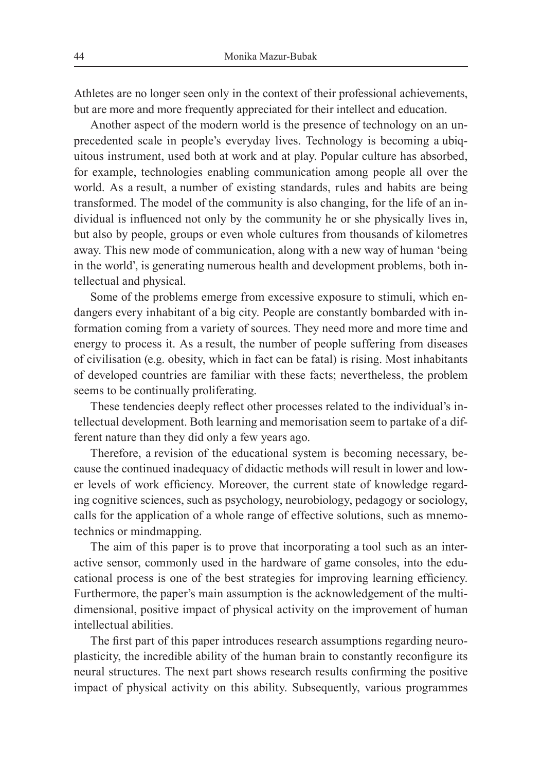Athletes are no longer seen only in the context of their professional achievements, but are more and more frequently appreciated for their intellect and education.

Another aspect of the modern world is the presence of technology on an unprecedented scale in people's everyday lives. Technology is becoming a ubiquitous instrument, used both at work and at play. Popular culture has absorbed, for example, technologies enabling communication among people all over the world. As a result, a number of existing standards, rules and habits are being transformed. The model of the community is also changing, for the life of an individual is influenced not only by the community he or she physically lives in, but also by people, groups or even whole cultures from thousands of kilometres away. This new mode of communication, along with a new way of human 'being in the world', is generating numerous health and development problems, both intellectual and physical.

Some of the problems emerge from excessive exposure to stimuli, which endangers every inhabitant of a big city. People are constantly bombarded with information coming from a variety of sources. They need more and more time and energy to process it. As a result, the number of people suffering from diseases of civilisation (e.g. obesity, which in fact can be fatal) is rising. Most inhabitants of developed countries are familiar with these facts; nevertheless, the problem seems to be continually proliferating.

These tendencies deeply reflect other processes related to the individual's intellectual development. Both learning and memorisation seem to partake of a different nature than they did only a few years ago.

Therefore, a revision of the educational system is becoming necessary, because the continued inadequacy of didactic methods will result in lower and lower levels of work efficiency. Moreover, the current state of knowledge regarding cognitive sciences, such as psychology, neurobiology, pedagogy or sociology, calls for the application of a whole range of effective solutions, such as mnemotechnics or mindmapping.

The aim of this paper is to prove that incorporating a tool such as an interactive sensor, commonly used in the hardware of game consoles, into the educational process is one of the best strategies for improving learning efficiency. Furthermore, the paper's main assumption is the acknowledgement of the multidimensional, positive impact of physical activity on the improvement of human intellectual abilities.

The first part of this paper introduces research assumptions regarding neuroplasticity, the incredible ability of the human brain to constantly reconfigure its neural structures. The next part shows research results confirming the positive impact of physical activity on this ability. Subsequently, various programmes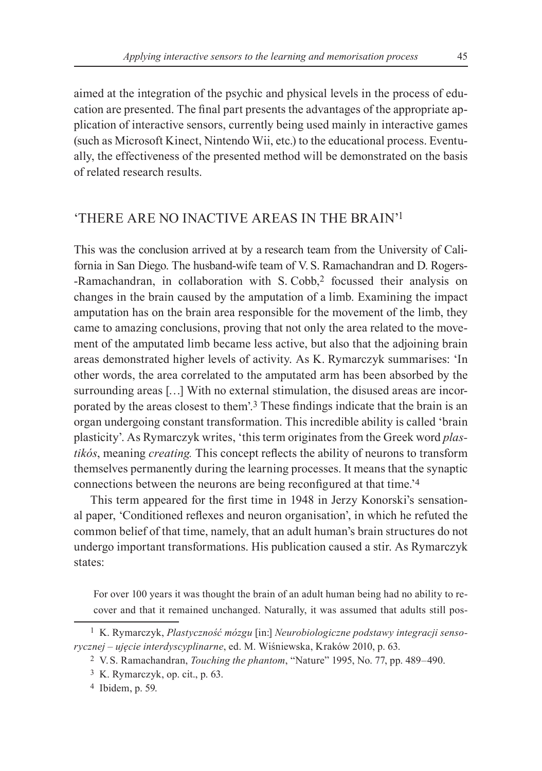aimed at the integration of the psychic and physical levels in the process of education are presented. The final part presents the advantages of the appropriate application of interactive sensors, currently being used mainly in interactive games (such as Microsoft Kinect, Nintendo Wii, etc.) to the educational process. Eventually, the effectiveness of the presented method will be demonstrated on the basis of related research results.

## 'There are no inactive areas in the brain'1

This was the conclusion arrived at by a research team from the University of California in San Diego. The husband-wife team of V. S. Ramachandran and D. Rogers--Ramachandran, in collaboration with S. Cobb,<sup>2</sup> focussed their analysis on changes in the brain caused by the amputation of a limb. Examining the impact amputation has on the brain area responsible for the movement of the limb, they came to amazing conclusions, proving that not only the area related to the movement of the amputated limb became less active, but also that the adjoining brain areas demonstrated higher levels of activity. As K. Rymarczyk summarises: 'In other words, the area correlated to the amputated arm has been absorbed by the surrounding areas [...] With no external stimulation, the disused areas are incorporated by the areas closest to them'.3 These findings indicate that the brain is an organ undergoing constant transformation. This incredible ability is called 'brain plasticity'. As Rymarczyk writes, 'this term originates from the Greek word *plas‑ tikós*, meaning *creating.* This concept reflects the ability of neurons to transform themselves permanently during the learning processes. It means that the synaptic connections between the neurons are being reconfigured at that time.'4

This term appeared for the first time in 1948 in Jerzy Konorski's sensational paper, 'Conditioned reflexes and neuron organisation', in which he refuted the common belief of that time, namely, that an adult human's brain structures do not undergo important transformations. His publication caused a stir. As Rymarczyk states:

For over 100 years it was thought the brain of an adult human being had no ability to recover and that it remained unchanged. Naturally, it was assumed that adults still pos-

<sup>1</sup> K. Rymarczyk, *Plastyczność mózgu* [in:] *Neurobiologiczne podstawy integracji senso‑ rycznej – ujęcie interdyscyplinarne*, ed. M. Wiśniewska, Kraków 2010, p. 63.

<sup>&</sup>lt;sup>2</sup> V.S. Ramachandran, *Touching the phantom*, "Nature" 1995, No. 77, pp. 489–490.

<sup>3</sup> K. Rymarczyk, op. cit., p. 63.

<sup>4</sup> Ibidem, p. 59.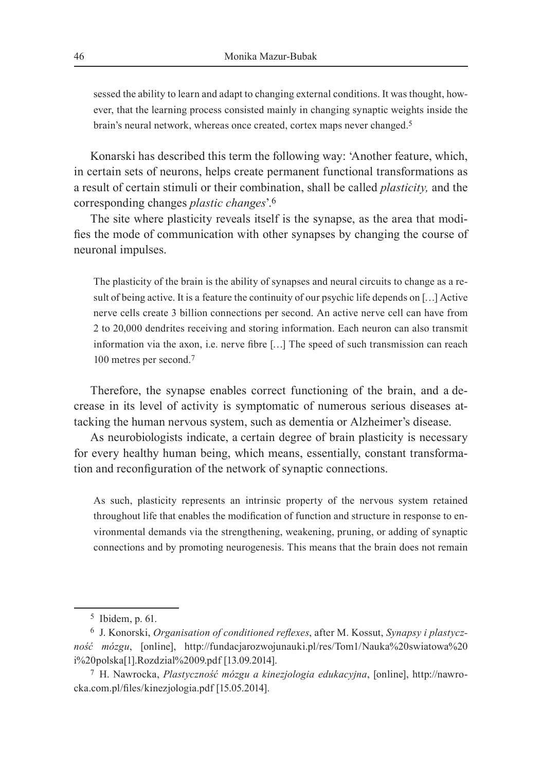sessed the ability to learn and adapt to changing external conditions. It was thought, however, that the learning process consisted mainly in changing synaptic weights inside the brain's neural network, whereas once created, cortex maps never changed.5

Konarski has described this term the following way: 'Another feature, which, in certain sets of neurons, helps create permanent functional transformations as a result of certain stimuli or their combination, shall be called *plasticity,* and the corresponding changes *plastic changes*'.6

The site where plasticity reveals itself is the synapse, as the area that modifies the mode of communication with other synapses by changing the course of neuronal impulses.

The plasticity of the brain is the ability of synapses and neural circuits to change as a result of being active. It is a feature the continuity of our psychic life depends on […] Active nerve cells create 3 billion connections per second. An active nerve cell can have from 2 to 20,000 dendrites receiving and storing information. Each neuron can also transmit information via the axon, i.e. nerve fibre […] The speed of such transmission can reach 100 metres per second.7

Therefore, the synapse enables correct functioning of the brain, and a decrease in its level of activity is symptomatic of numerous serious diseases attacking the human nervous system, such as dementia or Alzheimer's disease.

As neurobiologists indicate, a certain degree of brain plasticity is necessary for every healthy human being, which means, essentially, constant transformation and reconfiguration of the network of synaptic connections.

As such, plasticity represents an intrinsic property of the nervous system retained throughout life that enables the modification of function and structure in response to environmental demands via the strengthening, weakening, pruning, or adding of synaptic connections and by promoting neurogenesis. This means that the brain does not remain

<sup>5</sup> Ibidem, p. 61.

<sup>6</sup> J. Konorski, *Organisation of conditioned reflexes*, after M. Kossut, *Synapsy i plastycz‑ ność mózgu*, [online], http://fundacjarozwojunauki.pl/res/Tom1/Nauka%20swiatowa%20 i%20polska[1].Rozdzial%2009.pdf [13.09.2014].

<sup>7</sup> H. Nawrocka, *Plastyczność mózgu a kinezjologia edukacyjna*, [online], http://nawrocka.com.pl/files/kinezjologia.pdf [15.05.2014].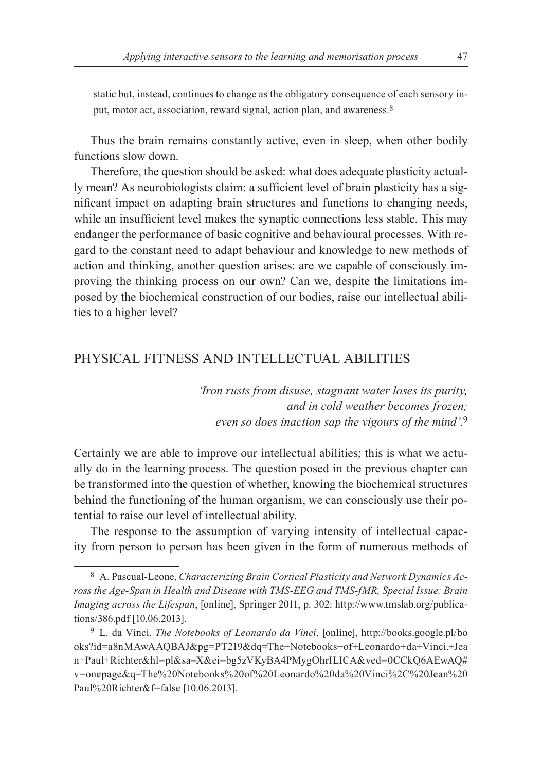static but, instead, continues to change as the obligatory consequence of each sensory input, motor act, association, reward signal, action plan, and awareness.<sup>8</sup>

Thus the brain remains constantly active, even in sleep, when other bodily functions slow down.

Therefore, the question should be asked: what does adequate plasticity actually mean? As neurobiologists claim: a sufficient level of brain plasticity has a significant impact on adapting brain structures and functions to changing needs, while an insufficient level makes the synaptic connections less stable. This may endanger the performance of basic cognitive and behavioural processes. With regard to the constant need to adapt behaviour and knowledge to new methods of action and thinking, another question arises: are we capable of consciously improving the thinking process on our own? Can we, despite the limitations imposed by the biochemical construction of our bodies, raise our intellectual abilities to a higher level?

### Physical fitness and intellectual abilities

*'Iron rusts from disuse, stagnant water loses its purity, and in cold weather becomes frozen; even so does inaction sap the vigours of the mind'*. 9

Certainly we are able to improve our intellectual abilities; this is what we actually do in the learning process. The question posed in the previous chapter can be transformed into the question of whether, knowing the biochemical structures behind the functioning of the human organism, we can consciously use their potential to raise our level of intellectual ability.

The response to the assumption of varying intensity of intellectual capacity from person to person has been given in the form of numerous methods of

<sup>8</sup> A. Pascual-Leone, *Characterizing Brain Cortical Plasticity and Network Dynamics Ac‑ ross the Age‑Span in Health and Disease with TMS‑EEG and TMS‑fMR, Special Issue: Brain Imaging across the Lifespan*, [online], Springer 2011, p. 302: http://www.tmslab.org/publications/386.pdf [10.06.2013].

<sup>9</sup> L. da Vinci, *The Notebooks of Leonardo da Vinci*, [online], http://books.google.pl/bo oks?id=a8nMAwAAQBAJ&pg=PT219&dq=The+Notebooks+of+Leonardo+da+Vinci,+Jea n+Paul+Richter&hl=pl&sa=X&ei=bg5zVKyBA4PMygOhrILICA&ved=0CCkQ6AEwAQ# v=onepage&q=The%20Notebooks%20of%20Leonardo%20da%20Vinci%2C%20Jean%20 Paul%20Richter&f=false [10.06.2013].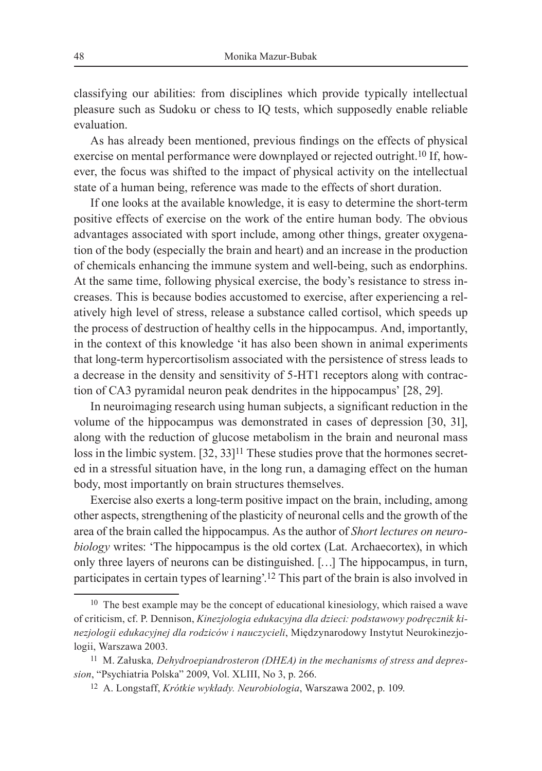classifying our abilities: from disciplines which provide typically intellectual pleasure such as Sudoku or chess to IQ tests, which supposedly enable reliable evaluation.

As has already been mentioned, previous findings on the effects of physical exercise on mental performance were downplayed or rejected outright.10 If, however, the focus was shifted to the impact of physical activity on the intellectual state of a human being, reference was made to the effects of short duration.

If one looks at the available knowledge, it is easy to determine the short-term positive effects of exercise on the work of the entire human body. The obvious advantages associated with sport include, among other things, greater oxygenation of the body (especially the brain and heart) and an increase in the production of chemicals enhancing the immune system and well‑being, such as endorphins. At the same time, following physical exercise, the body's resistance to stress increases. This is because bodies accustomed to exercise, after experiencing a relatively high level of stress, release a substance called cortisol, which speeds up the process of destruction of healthy cells in the hippocampus. And, importantly, in the context of this knowledge 'it has also been shown in animal experiments that long-term hypercortisolism associated with the persistence of stress leads to a decrease in the density and sensitivity of 5-HT1 receptors along with contraction of CA3 pyramidal neuron peak dendrites in the hippocampus' [28, 29].

In neuroimaging research using human subjects, a significant reduction in the volume of the hippocampus was demonstrated in cases of depression [30, 31], along with the reduction of glucose metabolism in the brain and neuronal mass loss in the limbic system. [32, 33]<sup>11</sup> These studies prove that the hormones secreted in a stressful situation have, in the long run, a damaging effect on the human body, most importantly on brain structures themselves.

Exercise also exerts a long-term positive impact on the brain, including, among other aspects, strengthening of the plasticity of neuronal cells and the growth of the area of the brain called the hippocampus. As the author of *Short lectures on neuro‑ biology* writes: 'The hippocampus is the old cortex (Lat. Archaecortex), in which only three layers of neurons can be distinguished. […] The hippocampus, in turn, participates in certain types of learning'.12 This part of the brain is also involved in

<sup>&</sup>lt;sup>10</sup> The best example may be the concept of educational kinesiology, which raised a wave of criticism, cf. P. Dennison, *Kinezjologia edukacyjna dla dzieci: podstawowy podręcznik ki‑ nezjologii edukacyjnej dla rodziców i nauczycieli*, Międzynarodowy Instytut Neurokinezjologii, Warszawa 2003.

<sup>11</sup> M. Załuska*, Dehydroepiandrosteron (DHEA) in the mechanisms of stress and depres‑ sion*, "Psychiatria Polska" 2009, Vol. XLIII, No 3, p. 266.

<sup>12</sup> A. Longstaff, *Krótkie wykłady. Neurobiologia*, Warszawa 2002, p. 109.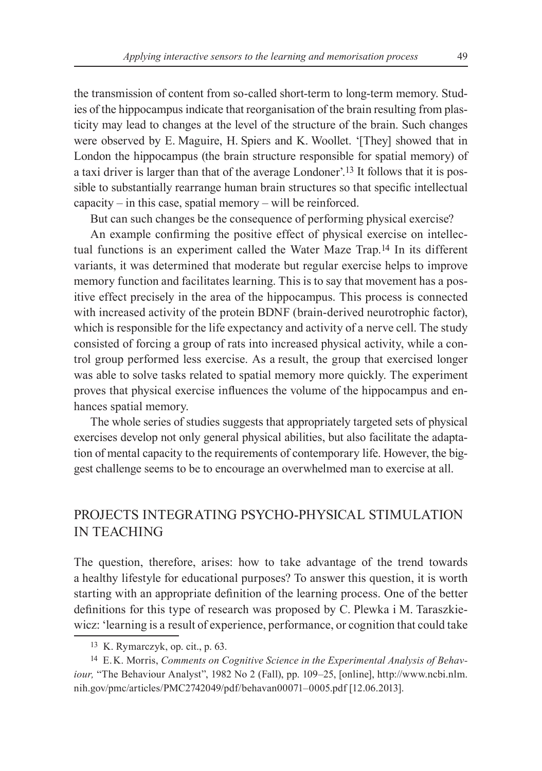the transmission of content from so-called short-term to long-term memory. Studies of the hippocampus indicate that reorganisation of the brain resulting from plasticity may lead to changes at the level of the structure of the brain. Such changes were observed by E. Maguire, H. Spiers and K. Woollet. '[They] showed that in London the hippocampus (the brain structure responsible for spatial memory) of a taxi driver is larger than that of the average Londoner'.<sup>13</sup> It follows that it is possible to substantially rearrange human brain structures so that specific intellectual  $capacity - in this case, spatial memory - will be reinforced.$ 

But can such changes be the consequence of performing physical exercise?

An example confirming the positive effect of physical exercise on intellectual functions is an experiment called the Water Maze Trap.14 In its different variants, it was determined that moderate but regular exercise helps to improve memory function and facilitates learning. This is to say that movement has a positive effect precisely in the area of the hippocampus. This process is connected with increased activity of the protein BDNF (brain-derived neurotrophic factor), which is responsible for the life expectancy and activity of a nerve cell. The study consisted of forcing a group of rats into increased physical activity, while a control group performed less exercise. As a result, the group that exercised longer was able to solve tasks related to spatial memory more quickly. The experiment proves that physical exercise influences the volume of the hippocampus and enhances spatial memory.

The whole series of studies suggests that appropriately targeted sets of physical exercises develop not only general physical abilities, but also facilitate the adaptation of mental capacity to the requirements of contemporary life. However, the biggest challenge seems to be to encourage an overwhelmed man to exercise at all.

## Projects integrating psycho‑physical stimulation in teaching

The question, therefore, arises: how to take advantage of the trend towards a healthy lifestyle for educational purposes? To answer this question, it is worth starting with an appropriate definition of the learning process. One of the better definitions for this type of research was proposed by C. Plewka i M. Taraszkiewicz: 'learning is a result of experience, performance, or cognition that could take

<sup>13</sup> K. Rymarczyk, op. cit., p. 63.

<sup>14</sup> E.K. Morris, *Comments on Cognitive Science in the Experimental Analysis of Behav‑ iour*, "The Behaviour Analyst", 1982 No 2 (Fall), pp. 109–25, [online], http://www.ncbi.nlm. nih.gov/pmc/articles/PMC2742049/pdf/behavan00071–0005.pdf [12.06.2013].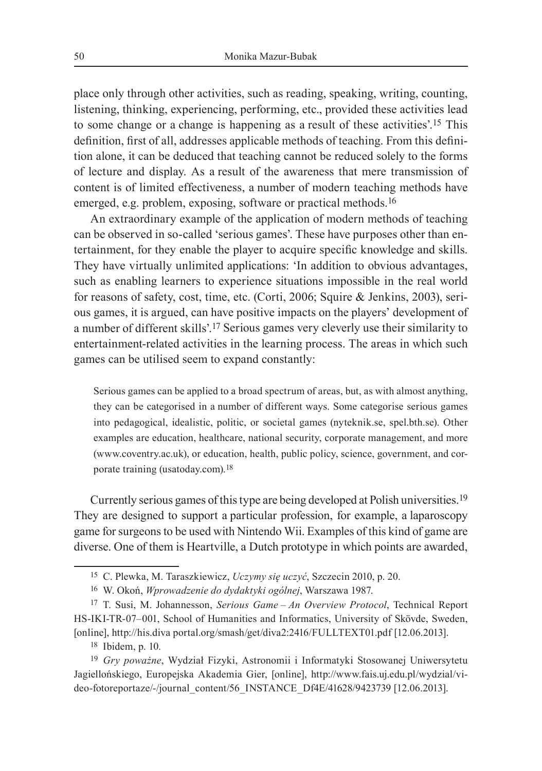place only through other activities, such as reading, speaking, writing, counting, listening, thinking, experiencing, performing, etc., provided these activities lead to some change or a change is happening as a result of these activities'.15 This definition, first of all, addresses applicable methods of teaching. From this definition alone, it can be deduced that teaching cannot be reduced solely to the forms of lecture and display. As a result of the awareness that mere transmission of content is of limited effectiveness, a number of modern teaching methods have emerged, e.g. problem, exposing, software or practical methods.16

An extraordinary example of the application of modern methods of teaching can be observed in so-called 'serious games'. These have purposes other than entertainment, for they enable the player to acquire specific knowledge and skills. They have virtually unlimited applications: 'In addition to obvious advantages, such as enabling learners to experience situations impossible in the real world for reasons of safety, cost, time, etc. (Corti, 2006; Squire & Jenkins, 2003), serious games, it is argued, can have positive impacts on the players' development of a number of different skills'.17 Serious games very cleverly use their similarity to entertainment-related activities in the learning process. The areas in which such games can be utilised seem to expand constantly:

Serious games can be applied to a broad spectrum of areas, but, as with almost anything, they can be categorised in a number of different ways. Some categorise serious games into pedagogical, idealistic, politic, or societal games (nyteknik.se, spel.bth.se). Other examples are education, healthcare, national security, corporate management, and more (www.coventry.ac.uk), or education, health, public policy, science, government, and corporate training (usatoday.com).18

Currently serious games of this type are being developed at Polish universities.19 They are designed to support a particular profession, for example, a laparoscopy game for surgeons to be used with Nintendo Wii. Examples of this kind of game are diverse. One of them is Heartville, a Dutch prototype in which points are awarded,

18 Ibidem, p. 10.

<sup>15</sup> C. Plewka, M. Taraszkiewicz, *Uczymy się uczyć*, Szczecin 2010, p. 20.

<sup>16</sup> W. Okoń, *Wprowadzenie do dydaktyki ogólnej*, Warszawa 1987.

<sup>17</sup> T. Susi, M. Johannesson, *Serious Game – An Overview Protocol*, Technical Report HS-IKI-TR-07-001, School of Humanities and Informatics, University of Skövde, Sweden, [online], http://his.diva portal.org/smash/get/diva2:2416/FULLTEXT01.pdf [12.06.2013].

<sup>19</sup> *Gry poważne*, Wydział Fizyki, Astronomii i Informatyki Stosowanej Uniwersytetu Jagiellońskiego, Europejska Akademia Gier, [online], http://www.fais.uj.edu.pl/wydzial/video-fotoreportaze/-/journal\_content/56\_INSTANCE\_Df4E/41628/9423739 [12.06.2013].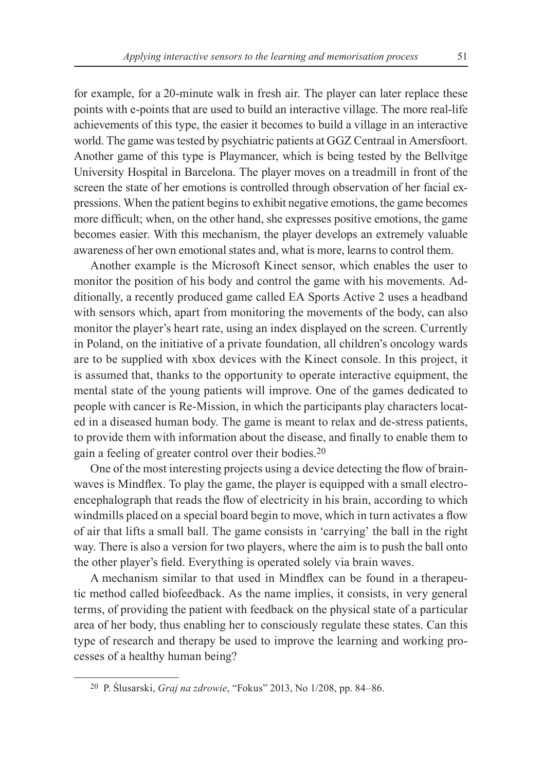for example, for a 20-minute walk in fresh air. The player can later replace these points with e-points that are used to build an interactive village. The more real-life achievements of this type, the easier it becomes to build a village in an interactive world. The game was tested by psychiatric patients at GGZ Centraal in Amersfoort. Another game of this type is Playmancer, which is being tested by the Bellvitge University Hospital in Barcelona. The player moves on a treadmill in front of the screen the state of her emotions is controlled through observation of her facial expressions. When the patient begins to exhibit negative emotions, the game becomes more difficult; when, on the other hand, she expresses positive emotions, the game becomes easier. With this mechanism, the player develops an extremely valuable awareness of her own emotional states and, what is more, learns to control them.

Another example is the Microsoft Kinect sensor, which enables the user to monitor the position of his body and control the game with his movements. Additionally, a recently produced game called EA Sports Active 2 uses a headband with sensors which, apart from monitoring the movements of the body, can also monitor the player's heart rate, using an index displayed on the screen. Currently in Poland, on the initiative of a private foundation, all children's oncology wards are to be supplied with xbox devices with the Kinect console. In this project, it is assumed that, thanks to the opportunity to operate interactive equipment, the mental state of the young patients will improve. One of the games dedicated to people with cancer is Re‑Mission, in which the participants play characters located in a diseased human body. The game is meant to relax and de-stress patients, to provide them with information about the disease, and finally to enable them to gain a feeling of greater control over their bodies.20

One of the most interesting projects using a device detecting the flow of brainwaves is Mindflex. To play the game, the player is equipped with a small electroencephalograph that reads the flow of electricity in his brain, according to which windmills placed on a special board begin to move, which in turn activates a flow of air that lifts a small ball. The game consists in 'carrying' the ball in the right way. There is also a version for two players, where the aim is to push the ball onto the other player's field. Everything is operated solely via brain waves.

A mechanism similar to that used in Mindflex can be found in a therapeutic method called biofeedback. As the name implies, it consists, in very general terms, of providing the patient with feedback on the physical state of a particular area of her body, thus enabling her to consciously regulate these states. Can this type of research and therapy be used to improve the learning and working processes of a healthy human being?

<sup>20</sup> P. Ślusarski, *Graj na zdrowie*, "Fokus" 2013, No 1/208, pp. 84‒86.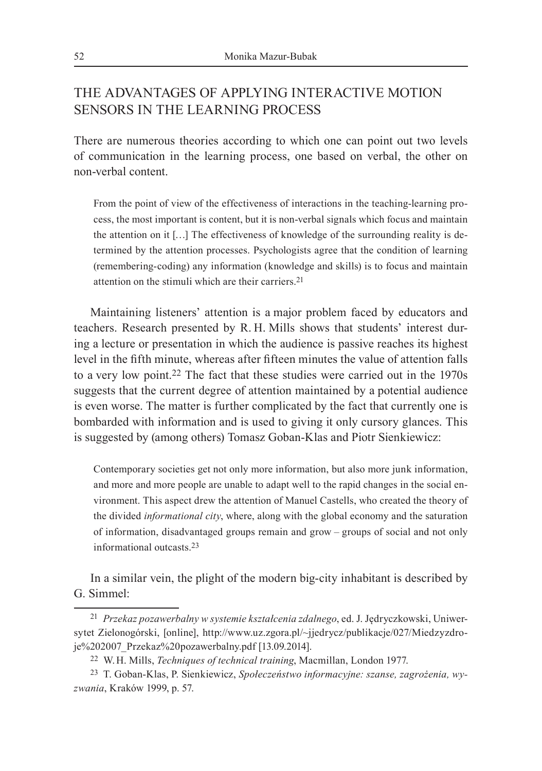## The advantages of applying interactive motion sensors in the learning process

There are numerous theories according to which one can point out two levels of communication in the learning process, one based on verbal, the other on non‑verbal content.

From the point of view of the effectiveness of interactions in the teaching-learning process, the most important is content, but it is non‑verbal signals which focus and maintain the attention on it […] The effectiveness of knowledge of the surrounding reality is determined by the attention processes. Psychologists agree that the condition of learning (remembering‑coding) any information (knowledge and skills) is to focus and maintain attention on the stimuli which are their carriers.<sup>21</sup>

Maintaining listeners' attention is a major problem faced by educators and teachers. Research presented by R. H. Mills shows that students' interest during a lecture or presentation in which the audience is passive reaches its highest level in the fifth minute, whereas after fifteen minutes the value of attention falls to a very low point.22 The fact that these studies were carried out in the 1970s suggests that the current degree of attention maintained by a potential audience is even worse. The matter is further complicated by the fact that currently one is bombarded with information and is used to giving it only cursory glances. This is suggested by (among others) Tomasz Goban-Klas and Piotr Sienkiewicz:

Contemporary societies get not only more information, but also more junk information, and more and more people are unable to adapt well to the rapid changes in the social environment. This aspect drew the attention of Manuel Castells, who created the theory of the divided *informational city*, where, along with the global economy and the saturation of information, disadvantaged groups remain and grow – groups of social and not only informational outcasts 23

In a similar vein, the plight of the modern big-city inhabitant is described by G. Simmel:

<sup>21</sup> *Przekaz pozawerbalny w systemie kształcenia zdalnego*, ed. J. Jędryczkowski, Uniwersytet Zielonogórski, [online], http://www.uz.zgora.pl/~jjedrycz/publikacje/027/Miedzyzdroje%202007\_Przekaz%20pozawerbalny.pdf [13.09.2014].

<sup>22</sup> W.H. Mills, *Techniques of technical training*, Macmillan, London 1977.

<sup>23</sup> T. Goban‑Klas, P. Sienkiewicz, *Społeczeństwo informacyjne: szanse, zagrożenia, wy‑ zwania*, Kraków 1999, p. 57.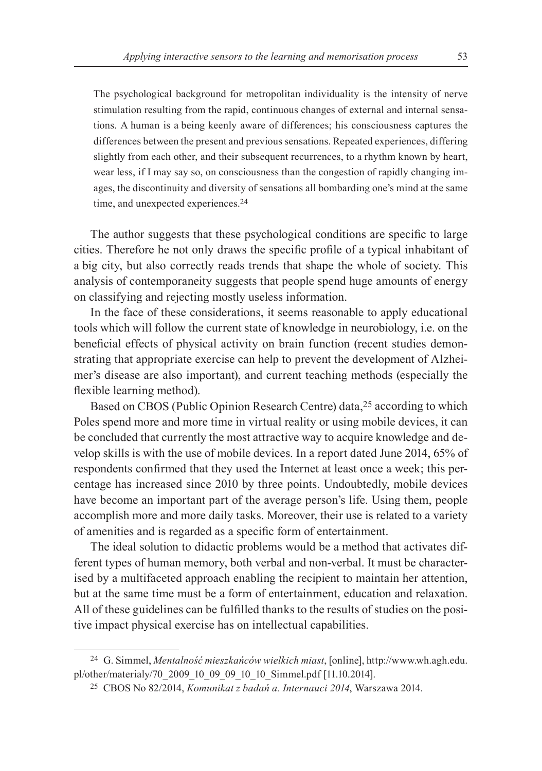The psychological background for metropolitan individuality is the intensity of nerve stimulation resulting from the rapid, continuous changes of external and internal sensations. A human is a being keenly aware of differences; his consciousness captures the differences between the present and previous sensations. Repeated experiences, differing slightly from each other, and their subsequent recurrences, to a rhythm known by heart, wear less, if I may say so, on consciousness than the congestion of rapidly changing images, the discontinuity and diversity of sensations all bombarding one's mind at the same time, and unexpected experiences.24

The author suggests that these psychological conditions are specific to large cities. Therefore he not only draws the specific profile of a typical inhabitant of a big city, but also correctly reads trends that shape the whole of society. This analysis of contemporaneity suggests that people spend huge amounts of energy on classifying and rejecting mostly useless information.

In the face of these considerations, it seems reasonable to apply educational tools which will follow the current state of knowledge in neurobiology, i.e. on the beneficial effects of physical activity on brain function (recent studies demonstrating that appropriate exercise can help to prevent the development of Alzheimer's disease are also important), and current teaching methods (especially the flexible learning method).

Based on CBOS (Public Opinion Research Centre) data,<sup>25</sup> according to which Poles spend more and more time in virtual reality or using mobile devices, it can be concluded that currently the most attractive way to acquire knowledge and develop skills is with the use of mobile devices. In a report dated June 2014, 65% of respondents confirmed that they used the Internet at least once a week; this percentage has increased since 2010 by three points. Undoubtedly, mobile devices have become an important part of the average person's life. Using them, people accomplish more and more daily tasks. Moreover, their use is related to a variety of amenities and is regarded as a specific form of entertainment.

The ideal solution to didactic problems would be a method that activates different types of human memory, both verbal and non‑verbal. It must be characterised by a multifaceted approach enabling the recipient to maintain her attention, but at the same time must be a form of entertainment, education and relaxation. All of these guidelines can be fulfilled thanks to the results of studies on the positive impact physical exercise has on intellectual capabilities.

<sup>24</sup> G. Simmel, *Mentalność mieszkańców wielkich miast*, [online], http://www.wh.agh.edu. pl/other/materialy/70\_2009\_10\_09\_09\_10\_10\_Simmel.pdf [11.10.2014].

<sup>25</sup> CBOS No 82/2014, *Komunikat z badań a. Internauci 2014*, Warszawa 2014.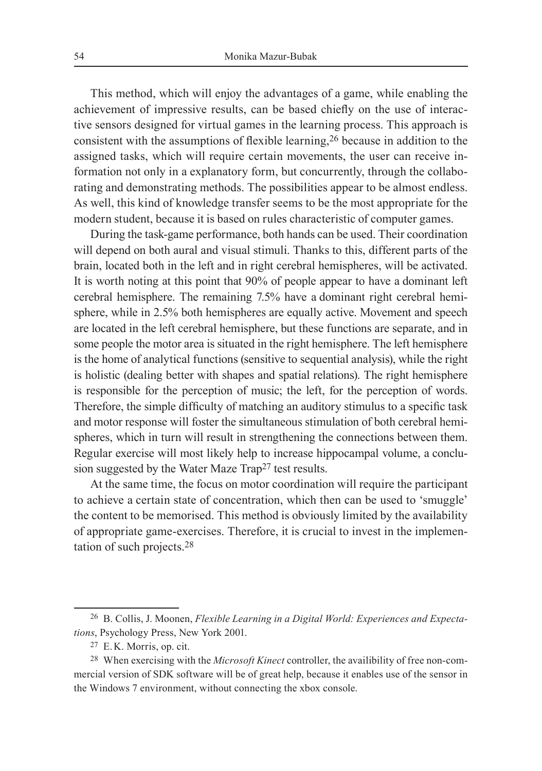This method, which will enjoy the advantages of a game, while enabling the achievement of impressive results, can be based chiefly on the use of interactive sensors designed for virtual games in the learning process. This approach is consistent with the assumptions of flexible learning,<sup>26</sup> because in addition to the assigned tasks, which will require certain movements, the user can receive information not only in a explanatory form, but concurrently, through the collaborating and demonstrating methods. The possibilities appear to be almost endless. As well, this kind of knowledge transfer seems to be the most appropriate for the modern student, because it is based on rules characteristic of computer games.

During the task‑game performance, both hands can be used. Their coordination will depend on both aural and visual stimuli. Thanks to this, different parts of the brain, located both in the left and in right cerebral hemispheres, will be activated. It is worth noting at this point that 90% of people appear to have a dominant left cerebral hemisphere. The remaining 7.5% have a dominant right cerebral hemisphere, while in 2.5% both hemispheres are equally active. Movement and speech are located in the left cerebral hemisphere, but these functions are separate, and in some people the motor area is situated in the right hemisphere. The left hemisphere is the home of analytical functions (sensitive to sequential analysis), while the right is holistic (dealing better with shapes and spatial relations). The right hemisphere is responsible for the perception of music; the left, for the perception of words. Therefore, the simple difficulty of matching an auditory stimulus to a specific task and motor response will foster the simultaneous stimulation of both cerebral hemispheres, which in turn will result in strengthening the connections between them. Regular exercise will most likely help to increase hippocampal volume, a conclusion suggested by the Water Maze Trap<sup>27</sup> test results.

At the same time, the focus on motor coordination will require the participant to achieve a certain state of concentration, which then can be used to 'smuggle' the content to be memorised. This method is obviously limited by the availability of appropriate game‑exercises. Therefore, it is crucial to invest in the implementation of such projects.28

<sup>26</sup> B. Collis, J. Moonen, *Flexible Learning in a Digital World: Experiences and Expecta‑ tions*, Psychology Press, New York 2001.

<sup>27</sup> E.K. Morris, op. cit.

<sup>28</sup> When exercising with the *Microsoft Kinect* controller, the availibility of free non‑commercial version of SDK software will be of great help, because it enables use of the sensor in the Windows 7 environment, without connecting the xbox console.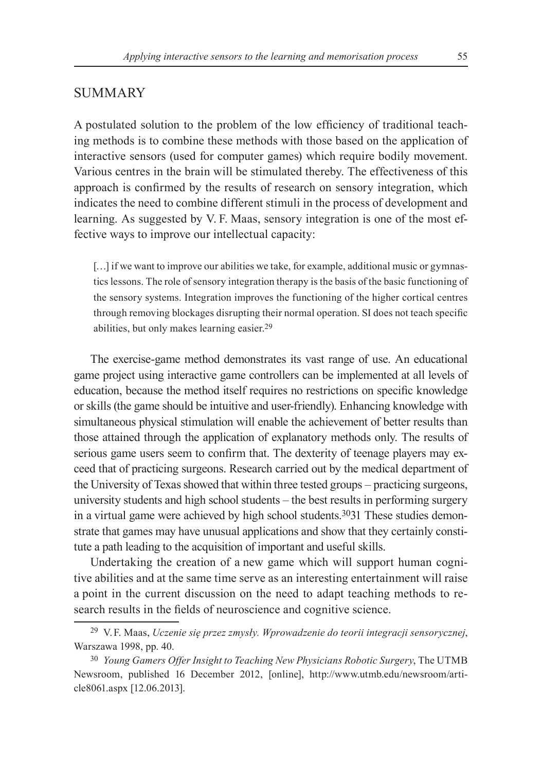### **SUMMARY**

A postulated solution to the problem of the low efficiency of traditional teaching methods is to combine these methods with those based on the application of interactive sensors (used for computer games) which require bodily movement. Various centres in the brain will be stimulated thereby. The effectiveness of this approach is confirmed by the results of research on sensory integration, which indicates the need to combine different stimuli in the process of development and learning. As suggested by V. F. Maas, sensory integration is one of the most effective ways to improve our intellectual capacity:

[...] if we want to improve our abilities we take, for example, additional music or gymnastics lessons. The role of sensory integration therapy is the basis of the basic functioning of the sensory systems. Integration improves the functioning of the higher cortical centres through removing blockages disrupting their normal operation. SI does not teach specific abilities, but only makes learning easier.29

The exercise-game method demonstrates its vast range of use. An educational game project using interactive game controllers can be implemented at all levels of education, because the method itself requires no restrictions on specific knowledge or skills (the game should be intuitive and user‑friendly). Enhancing knowledge with simultaneous physical stimulation will enable the achievement of better results than those attained through the application of explanatory methods only. The results of serious game users seem to confirm that. The dexterity of teenage players may exceed that of practicing surgeons. Research carried out by the medical department of the University of Texas showed that within three tested groups – practicing surgeons, university students and high school students – the best results in performing surgery in a virtual game were achieved by high school students.3031 These studies demonstrate that games may have unusual applications and show that they certainly constitute a path leading to the acquisition of important and useful skills.

Undertaking the creation of a new game which will support human cognitive abilities and at the same time serve as an interesting entertainment will raise a point in the current discussion on the need to adapt teaching methods to research results in the fields of neuroscience and cognitive science.

<sup>29</sup> V.F. Maas, *Uczenie się przez zmysły. Wprowadzenie do teorii integracji sensorycznej*, Warszawa 1998, pp. 40.

<sup>30</sup> *Young Gamers Offer Insight to Teaching New Physicians Robotic Surgery*, The UTMB Newsroom, published 16 December 2012, [online], http://www.utmb.edu/newsroom/article8061.aspx [12.06.2013].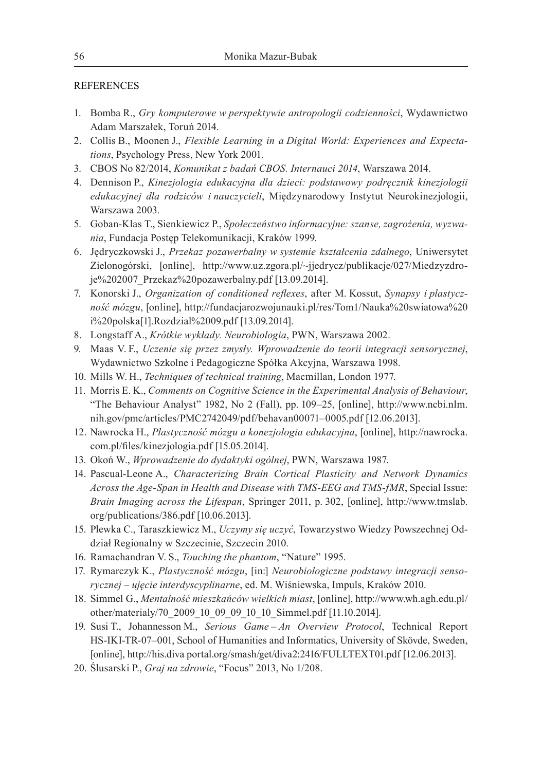#### **REFERENCES**

- 1. Bomba R., *Gry komputerowe w perspektywie antropologii codzienności*, Wydawnictwo Adam Marszałek, Toruń 2014.
- 2. Collis B., Moonen J., *Flexible Learning in a Digital World: Experiences and Expecta‑ tions*, Psychology Press, New York 2001.
- 3. CBOS No 82/2014, *Komunikat z badań CBOS. Internauci 2014*, Warszawa 2014.
- 4. Dennison P., *Kinezjologia edukacyjna dla dzieci: podstawowy podręcznik kinezjologii edukacyjnej dla rodziców i nauczycieli*, Międzynarodowy Instytut Neurokinezjologii, Warszawa 2003.
- 5. Goban‑Klas T., Sienkiewicz P., *Społeczeństwo informacyjne: szanse, zagrożenia, wyzwa‑ nia*, Fundacja Postęp Telekomunikacji, Kraków 1999.
- 6. Jędryczkowski J., *Przekaz pozawerbalny w systemie kształcenia zdalnego*, Uniwersytet Zielonogórski, [online], http://www.uz.zgora.pl/~jjedrycz/publikacje/027/Miedzyzdroje%202007\_Przekaz%20pozawerbalny.pdf [13.09.2014].
- 7. Konorski J., *Organization of conditioned reflexes*, after M. Kossut, *Synapsy i plastycz‑ ność mózgu*, [online], http://fundacjarozwojunauki.pl/res/Tom1/Nauka%20swiatowa%20 i%20polska[1].Rozdzial%2009.pdf [13.09.2014].
- 8. Longstaff A., *Krótkie wykłady. Neurobiologia*, PWN, Warszawa 2002.
- 9. Maas V. F., *Uczenie się przez zmysły. Wprowadzenie do teorii integracji sensorycznej*, Wydawnictwo Szkolne i Pedagogiczne Spółka Akcyjna, Warszawa 1998.
- 10. Mills W. H., *Techniques of technical training*, Macmillan, London 1977.
- 11. Morris E. K., *Comments on Cognitive Science in the Experimental Analysis of Behaviour*, "The Behaviour Analyst" 1982, No 2 (Fall), pp. 109–25, [online], http://www.ncbi.nlm. nih.gov/pmc/articles/PMC2742049/pdf/behavan00071–0005.pdf [12.06.2013].
- 12. Nawrocka H., *Plastyczność mózgu a konezjologia edukacyjna*, [online], http://nawrocka. com.pl/files/kinezjologia.pdf [15.05.2014].
- 13. Okoń W., *Wprowadzenie do dydaktyki ogólnej*, PWN, Warszawa 1987.
- 14. Pascual-Leone A., *Characterizing Brain Cortical Plasticity and Network Dynamics Across the Age‑Span in Health and Disease with TMS‑EEG and TMS‑fMR*, Special Issue: *Brain Imaging across the Lifespan*, Springer 2011, p. 302, [online], http://www.tmslab. org/publications/386.pdf [10.06.2013].
- 15. Plewka C., Taraszkiewicz M., *Uczymy się uczyć*, Towarzystwo Wiedzy Powszechnej Oddział Regionalny w Szczecinie, Szczecin 2010.
- 16. Ramachandran V. S., *Touching the phantom*, "Nature" 1995.
- 17. Rymarczyk K., *Plastyczność mózgu*, [in:] *Neurobiologiczne podstawy integracji senso‑ rycznej – ujęcie interdyscyplinarne*, ed. M. Wiśniewska, Impuls, Kraków 2010.
- 18. Simmel G., *Mentalność mieszkańców wielkich miast*, [online], http://www.wh.agh.edu.pl/ other/materialy/70\_2009\_10\_09\_09\_10\_10\_Simmel.pdf [11.10.2014].
- 19. Susi T., Johannesson M., *Serious Game – An Overview Protocol*, Technical Report HS‑IKI‑TR‑07–001, School of Humanities and Informatics, University of Skövde, Sweden, [online], http://his.diva portal.org/smash/get/diva2:2416/FULLTEXT01.pdf [12.06.2013].
- 20. Ślusarski P., *Graj na zdrowie*, "Focus" 2013, No 1/208.